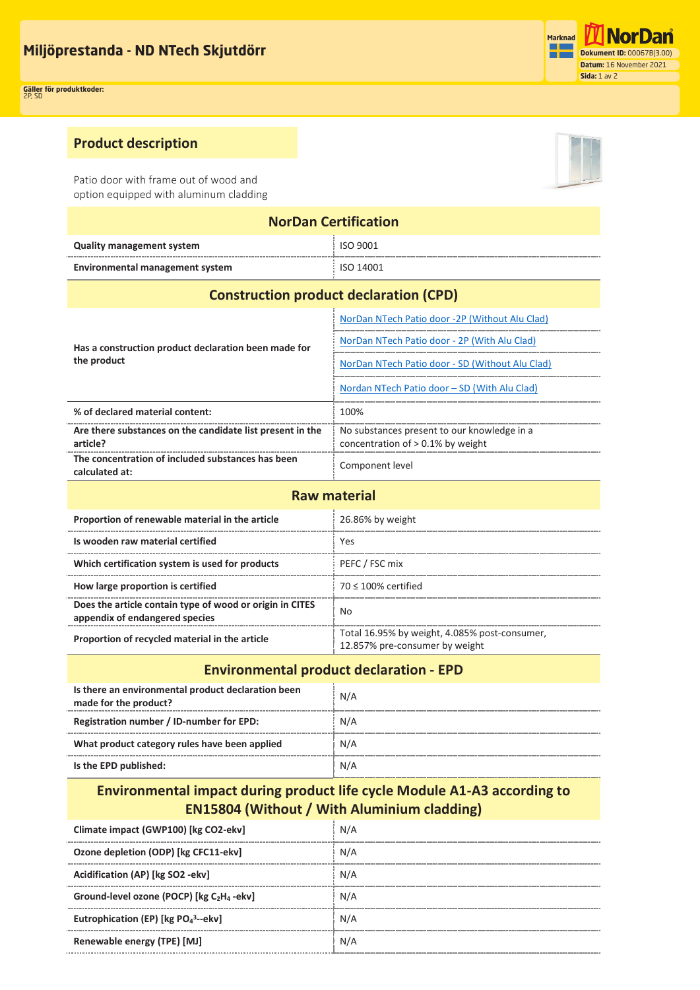## **Product description**

Patio door with frame out of wood and option equipped with aluminum cladding

| <b>NorDan Certification</b>              |           |  |
|------------------------------------------|-----------|--|
| <b>Quality management system</b>         | ISO 9001  |  |
| Environmental management system          | ISO 14001 |  |
| Construirthon nuo duct de deustien (CDD) |           |  |

## **Construction product declaration (CPD)**

| Has a construction product declaration been made for<br>the product   | NorDan NTech Patio door -2P (Without Alu Clad)                                      |  |  |
|-----------------------------------------------------------------------|-------------------------------------------------------------------------------------|--|--|
|                                                                       | NorDan NTech Patio door - 2P (With Alu Clad)                                        |  |  |
|                                                                       | NorDan NTech Patio door - SD (Without Alu Clad)                                     |  |  |
|                                                                       | Nordan NTech Patio door – SD (With Alu Clad)                                        |  |  |
| % of declared material content:                                       | 100%                                                                                |  |  |
| Are there substances on the candidate list present in the<br>article? | No substances present to our knowledge in a<br>concentration of $> 0.1\%$ by weight |  |  |
| The concentration of included substances has been<br>calculated at:   | Component level                                                                     |  |  |

| <b>Raw material</b>                                                                        |                                                                                 |  |
|--------------------------------------------------------------------------------------------|---------------------------------------------------------------------------------|--|
| Proportion of renewable material in the article                                            | 26.86% by weight                                                                |  |
| Is wooden raw material certified                                                           | Yes                                                                             |  |
| Which certification system is used for products                                            | PEFC / FSC mix                                                                  |  |
| How large proportion is certified                                                          | $70 < 100\%$ certified                                                          |  |
| Does the article contain type of wood or origin in CITES<br>appendix of endangered species | N٥                                                                              |  |
| Proportion of recycled material in the article                                             | Total 16.95% by weight, 4.085% post-consumer,<br>12.857% pre-consumer by weight |  |

| <b>Environmental product declaration - EPD</b>                              |     |  |
|-----------------------------------------------------------------------------|-----|--|
| Is there an environmental product declaration been<br>made for the product? | N/A |  |
| Registration number / ID-number for EPD:                                    | N/A |  |
| What product category rules have been applied                               | N/A |  |
| Is the EPD published:                                                       | N/A |  |

## **Environmental impact during product life cycle Module A1-A3 according to EN15804 (Without / With Aluminium cladding)**

| Climate impact (GWP100) [kg CO2-ekv]                              | N/A |
|-------------------------------------------------------------------|-----|
| Ozone depletion (ODP) [kg CFC11-ekv]                              | N/A |
| Acidification (AP) [kg SO2 -ekv]                                  | N/A |
| Ground-level ozone (POCP) [kg C <sub>2</sub> H <sub>4</sub> -ekv] | N/A |
| Eutrophication (EP) [kg $PO_4^3$ --ekv]                           | N/A |
| Renewable energy (TPE) [MJ]                                       | N/A |